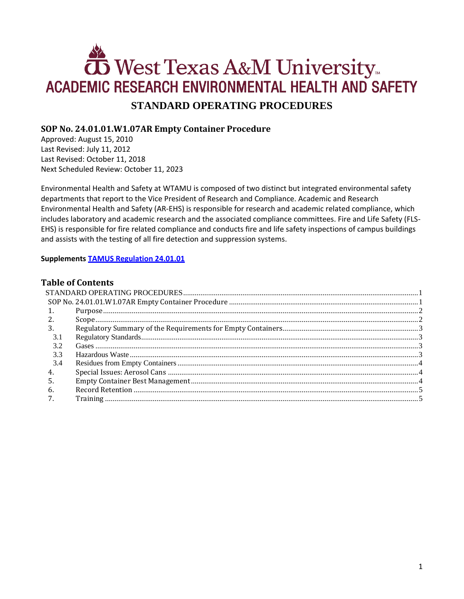# West Texas A&M University **ACADEMIC RESEARCH ENVIRONMENTAL HEALTH AND SAFETY STANDARD OPERATING PROCEDURES**

# <span id="page-0-1"></span><span id="page-0-0"></span>**SOP No. 24.01.01.W1.07AR Empty Container Procedure**

Approved: August 15, 2010 Last Revised: July 11, 2012 Last Revised: October 11, 2018 Next Scheduled Review: October 11, 2023

Environmental Health and Safety at WTAMU is composed of two distinct but integrated environmental safety departments that report to the Vice President of Research and Compliance. Academic and Research Environmental Health and Safety (AR-EHS) is responsible for research and academic related compliance, which includes laboratory and academic research and the associated compliance committees. Fire and Life Safety (FLS-EHS) is responsible for fire related compliance and conducts fire and life safety inspections of campus buildings and assists with the testing of all fire detection and suppression systems.

#### **Supplements [TAMUS Regulation 24.01.01](http://policies.tamus.edu/24-01-01.pdf)**

## **Table of Contents**

| 2.          |  |
|-------------|--|
| 3.          |  |
| $3^{\circ}$ |  |
| 3.2         |  |
| 3.3         |  |
| 3.4         |  |
| 4.          |  |
| .5          |  |
| 6.          |  |
|             |  |
|             |  |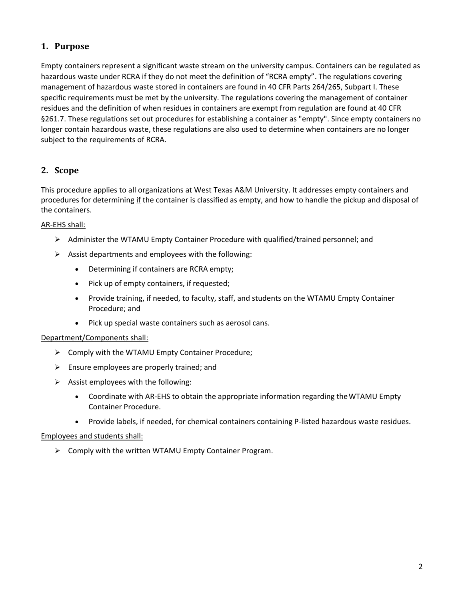# <span id="page-1-0"></span>**1. Purpose**

Empty containers represent a significant waste stream on the university campus. Containers can be regulated as hazardous waste under RCRA if they do not meet the definition of "RCRA empty". The regulations covering management of hazardous waste stored in containers are found in 40 CFR Parts 264/265, Subpart I. These specific requirements must be met by the university. The regulations covering the management of container residues and the definition of when residues in containers are exempt from regulation are found at 40 CFR §261.7. These regulations set out procedures for establishing a container as "empty". Since empty containers no longer contain hazardous waste, these regulations are also used to determine when containers are no longer subject to the requirements of RCRA.

## <span id="page-1-1"></span>**2. Scope**

This procedure applies to all organizations at West Texas A&M University. It addresses empty containers and procedures for determining if the container is classified as empty, and how to handle the pickup and disposal of the containers.

#### AR-EHS shall:

- $\triangleright$  Administer the WTAMU Empty Container Procedure with qualified/trained personnel; and
- $\triangleright$  Assist departments and employees with the following:
	- Determining if containers are RCRA empty;
	- Pick up of empty containers, if requested;
	- Provide training, if needed, to faculty, staff, and students on the WTAMU Empty Container Procedure; and
	- Pick up special waste containers such as aerosol cans.

#### Department/Components shall:

- $\triangleright$  Comply with the WTAMU Empty Container Procedure;
- $\triangleright$  Ensure employees are properly trained; and
- $\triangleright$  Assist employees with the following:
	- Coordinate with AR-EHS to obtain the appropriate information regarding theWTAMU Empty Container Procedure.
	- Provide labels, if needed, for chemical containers containing P-listed hazardous waste residues.

#### Employees and students shall:

 $\triangleright$  Comply with the written WTAMU Empty Container Program.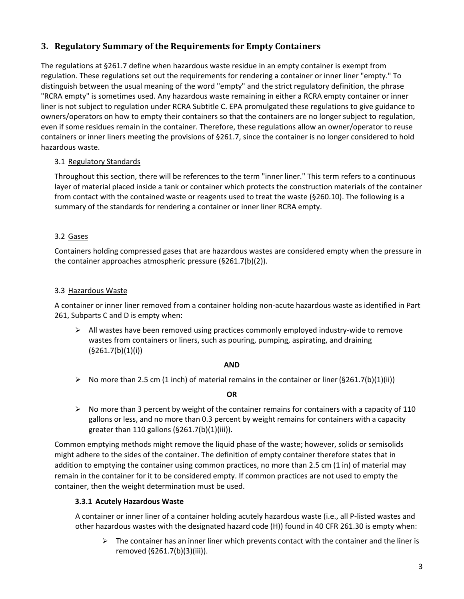# <span id="page-2-0"></span>**3. Regulatory Summary of the Requirements for Empty Containers**

The regulations at §261.7 define when hazardous waste residue in an empty container is exempt from regulation. These regulations set out the requirements for rendering a container or inner liner "empty." To distinguish between the usual meaning of the word "empty" and the strict regulatory definition, the phrase "RCRA empty" is sometimes used. Any hazardous waste remaining in either a RCRA empty container or inner liner is not subject to regulation under RCRA Subtitle C. EPA promulgated these regulations to give guidance to owners/operators on how to empty their containers so that the containers are no longer subject to regulation, even if some residues remain in the container. Therefore, these regulations allow an owner/operator to reuse containers or inner liners meeting the provisions of §261.7, since the container is no longer considered to hold hazardous waste.

#### <span id="page-2-1"></span>3.1 Regulatory Standards

Throughout this section, there will be references to the term "inner liner." This term refers to a continuous layer of material placed inside a tank or container which protects the construction materials of the container from contact with the contained waste or reagents used to treat the waste (§260.10). The following is a summary of the standards for rendering a container or inner liner RCRA empty.

#### <span id="page-2-2"></span>3.2 Gases

Containers holding compressed gases that are hazardous wastes are considered empty when the pressure in the container approaches atmospheric pressure (§261.7(b)(2)).

#### <span id="page-2-3"></span>3.3 Hazardous Waste

A container or inner liner removed from a container holding non-acute hazardous waste as identified in Part 261, Subparts C and D is empty when:

 $\triangleright$  All wastes have been removed using practices commonly employed industry-wide to remove wastes from containers or liners, such as pouring, pumping, aspirating, and draining  $(§261.7(b)(1)(i))$ 

#### **AND**

 $\triangleright$  No more than 2.5 cm (1 inch) of material remains in the container or liner (§261.7(b)(1)(iii))

#### **OR**

 $\triangleright$  No more than 3 percent by weight of the container remains for containers with a capacity of 110 gallons or less, and no more than 0.3 percent by weight remains for containers with a capacity greater than 110 gallons (§261.7(b)(1)(iii)).

Common emptying methods might remove the liquid phase of the waste; however, solids or semisolids might adhere to the sides of the container. The definition of empty container therefore states that in addition to emptying the container using common practices, no more than 2.5 cm (1 in) of material may remain in the container for it to be considered empty. If common practices are not used to empty the container, then the weight determination must be used.

#### **3.3.1 Acutely Hazardous Waste**

A container or inner liner of a container holding acutely hazardous waste (i.e., all P-listed wastes and other hazardous wastes with the designated hazard code (H)) found in 40 CFR 261.30 is empty when:

 $\triangleright$  The container has an inner liner which prevents contact with the container and the liner is removed (§261.7(b)(3)(iii)).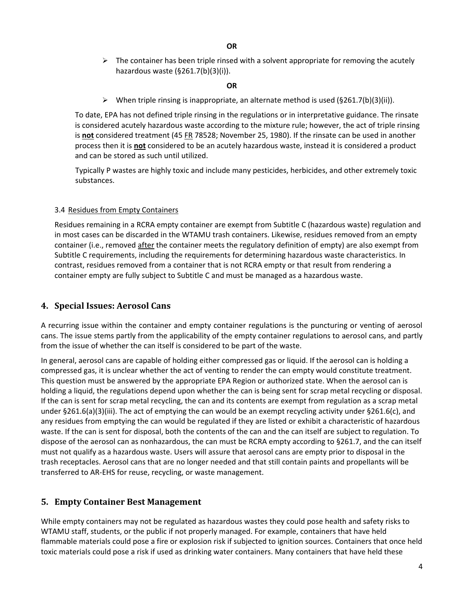$\triangleright$  The container has been triple rinsed with a solvent appropriate for removing the acutely hazardous waste (§261.7(b)(3)(i)).

#### **OR**

 $\triangleright$  When triple rinsing is inappropriate, an alternate method is used (§261.7(b)(3)(ii)).

To date, EPA has not defined triple rinsing in the regulations or in interpretative guidance. The rinsate is considered acutely hazardous waste according to the mixture rule; however, the act of triple rinsing is **not** considered treatment (45 FR 78528; November 25, 1980). If the rinsate can be used in another process then it is **not** considered to be an acutely hazardous waste, instead it is considered a product and can be stored as such until utilized.

Typically P wastes are highly toxic and include many pesticides, herbicides, and other extremely toxic substances.

#### <span id="page-3-0"></span>3.4 Residues from Empty Containers

Residues remaining in a RCRA empty container are exempt from Subtitle C (hazardous waste) regulation and in most cases can be discarded in the WTAMU trash containers. Likewise, residues removed from an empty container (i.e., removed after the container meets the regulatory definition of empty) are also exempt from Subtitle C requirements, including the requirements for determining hazardous waste characteristics. In contrast, residues removed from a container that is not RCRA empty or that result from rendering a container empty are fully subject to Subtitle C and must be managed as a hazardous waste.

## <span id="page-3-1"></span>**4. Special Issues: Aerosol Cans**

A recurring issue within the container and empty container regulations is the puncturing or venting of aerosol cans. The issue stems partly from the applicability of the empty container regulations to aerosol cans, and partly from the issue of whether the can itself is considered to be part of the waste.

In general, aerosol cans are capable of holding either compressed gas or liquid. If the aerosol can is holding a compressed gas, it is unclear whether the act of venting to render the can empty would constitute treatment. This question must be answered by the appropriate EPA Region or authorized state. When the aerosol can is holding a liquid, the regulations depend upon whether the can is being sent for scrap metal recycling or disposal. If the can is sent for scrap metal recycling, the can and its contents are exempt from regulation as a scrap metal under §261.6(a)(3)(iii). The act of emptying the can would be an exempt recycling activity under §261.6(c), and any residues from emptying the can would be regulated if they are listed or exhibit a characteristic of hazardous waste. If the can is sent for disposal, both the contents of the can and the can itself are subject to regulation. To dispose of the aerosol can as nonhazardous, the can must be RCRA empty according to §261.7, and the can itself must not qualify as a hazardous waste. Users will assure that aerosol cans are empty prior to disposal in the trash receptacles. Aerosol cans that are no longer needed and that still contain paints and propellants will be transferred to AR-EHS for reuse, recycling, or waste management.

## <span id="page-3-2"></span>**5. Empty Container Best Management**

While empty containers may not be regulated as hazardous wastes they could pose health and safety risks to WTAMU staff, students, or the public if not properly managed. For example, containers that have held flammable materials could pose a fire or explosion risk if subjected to ignition sources. Containers that once held toxic materials could pose a risk if used as drinking water containers. Many containers that have held these